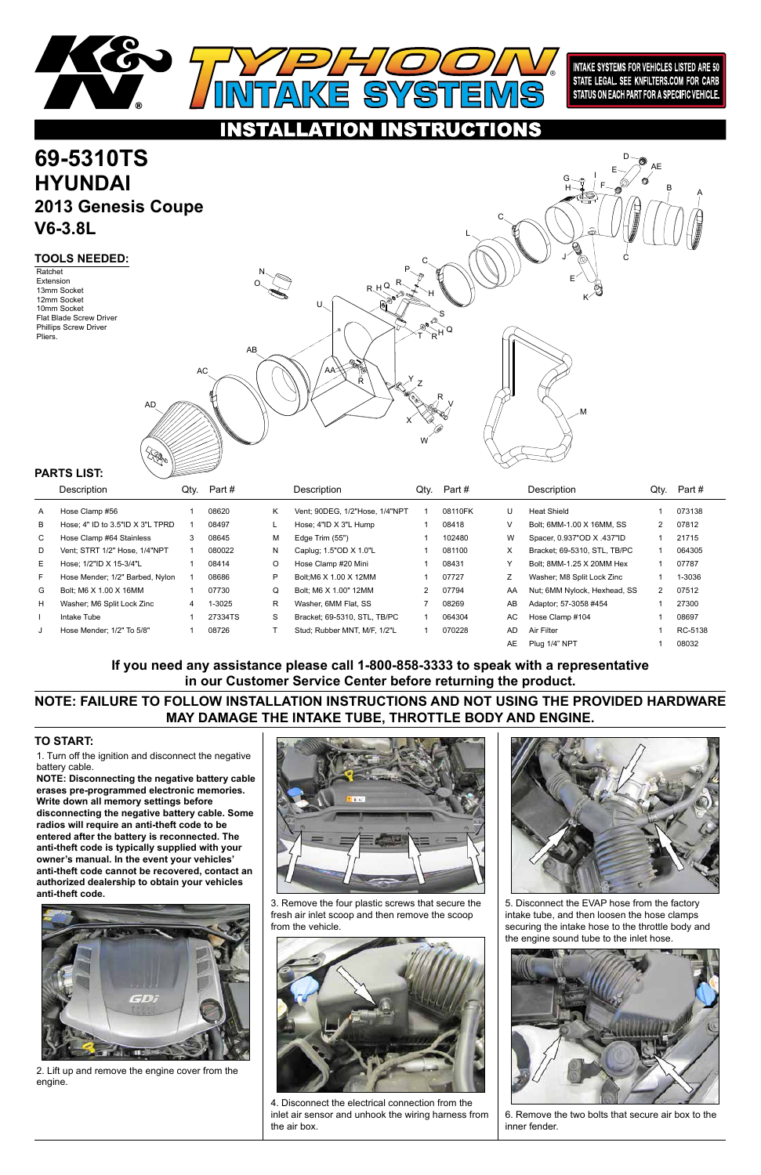1. Turn off the ignition and disconnect the negative battery cable.

# **69-5310TS HYUNDAI 2013 Genesis Coupe V6-3.8L**

**NOTE: Disconnecting the negative battery cable erases pre-programmed electronic memories. Write down all memory settings before disconnecting the negative battery cable. Some radios will require an anti-theft code to be entered after the battery is reconnected. The anti-theft code is typically supplied with your owner's manual. In the event your vehicles' anti-theft code cannot be recovered, contact an authorized dealership to obtain your vehicles anti-theft code.**





### **TO START:**



**INTAKE SYSTEMS FOR VEHICLES LISTED ARE 50** STATE LEGAL. SEE KNFILTERS.COM FOR CARB STATUS ON EACH PART FOR A SPECIFIC VEHICLE.

### **INSTRUCTIONS** TON

### **TOOLS NEEDED:**

|    | Description                      | Qty. | Part#   |    | Description                    | Qty. | Part#   |           | Description                  | Qty.          | Part #  |
|----|----------------------------------|------|---------|----|--------------------------------|------|---------|-----------|------------------------------|---------------|---------|
| A  | Hose Clamp #56                   |      | 08620   | K  | Vent; 90DEG, 1/2"Hose, 1/4"NPT |      | 08110FK | U         | <b>Heat Shield</b>           |               | 073138  |
| В  | Hose: 4" ID to 3.5"ID X 3"L TPRD |      | 08497   |    | Hose; $4"ID X 3"L Hump$        |      | 08418   | V         | Bolt: 6MM-1.00 X 16MM, SS    | 2             | 07812   |
| C. | Hose Clamp #64 Stainless         | 3    | 08645   | м  | Edge Trim (55")                |      | 102480  | W         | Spacer, 0.937"OD X .437"ID   |               | 21715   |
| D  | Vent: STRT 1/2" Hose, 1/4"NPT    |      | 080022  | N  | Caplug: 1.5"OD X 1.0"L         |      | 081100  | X         | Bracket; 69-5310, STL, TB/PC |               | 064305  |
| E. | Hose: 1/2"ID X 15-3/4"L          |      | 08414   | O  | Hose Clamp #20 Mini            |      | 08431   | Υ         | Bolt: 8MM-1.25 X 20MM Hex    |               | 07787   |
| F  | Hose Mender; 1/2" Barbed, Nylon  |      | 08686   | P  | Bolt:M6 X 1.00 X 12MM          |      | 07727   |           | Washer; M8 Split Lock Zinc   |               | 1-3036  |
| G  | Bolt: M6 X 1.00 X 16MM           |      | 07730   | Q  | Bolt: M6 X 1.00" 12MM          | 2    | 07794   | AA        | Nut; 6MM Nylock, Hexhead, SS | $\mathcal{P}$ | 07512   |
| H  | Washer; M6 Split Lock Zinc       | 4    | 1-3025  | R. | Washer, 6MM Flat, SS           |      | 08269   | AB        | Adaptor: 57-3058 #454        |               | 27300   |
|    | Intake Tube                      |      | 27334TS | S  | Bracket: 69-5310, STL, TB/PC   |      | 064304  | AC.       | Hose Clamp #104              |               | 08697   |
|    | Hose Mender: 1/2" To 5/8"        |      | 08726   |    | Stud: Rubber MNT, M/F, 1/2"L   |      | 070228  | <b>AD</b> | Air Filter                   |               | RC-5138 |
|    |                                  |      |         |    |                                |      |         | AE        | Plug 1/4" NPT                |               | 08032   |

### **PARTS LIST:**

Ratchet Extension 13mm Socket 12mm Socket 10mm Socket Flat Blade Screw Driver Phillips Screw Driver Pliers.



2. Lift up and remove the engine cover from the engine.

3. Remove the four plastic screws that secure the fresh air inlet scoop and then remove the scoop from the vehicle.



4. Disconnect the electrical connection from the inlet air sensor and unhook the wiring harness from the air box.

5. Disconnect the EVAP hose from the factory intake tube, and then loosen the hose clamps securing the intake hose to the throttle body and the engine sound tube to the inlet hose.



6. Remove the two bolts that secure air box to the inner fender.



**NOTE: FAILURE TO FOLLOW INSTALLATION INSTRUCTIONS AND NOT USING THE PROVIDED HARDWARE MAY DAMAGE THE INTAKE TUBE, THROTTLE BODY AND ENGINE.**

**If you need any assistance please call 1-800-858-3333 to speak with a representative in our Customer Service Center before returning the product.**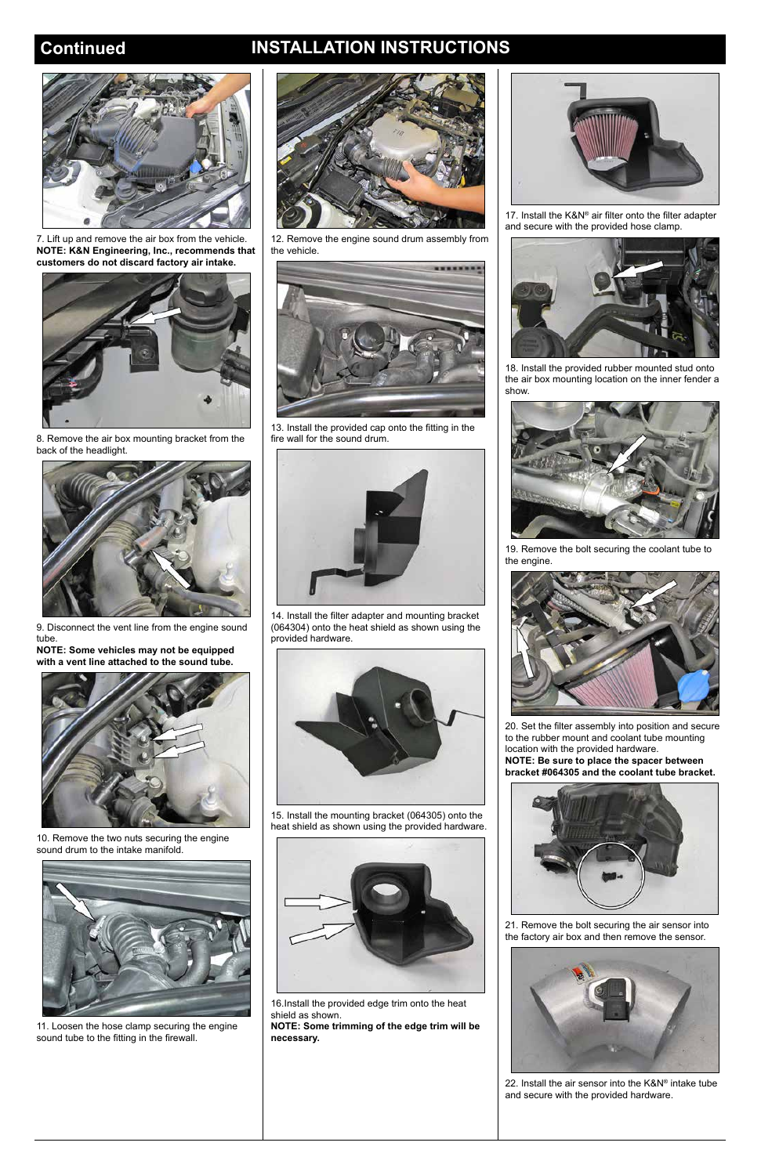## **Continued INSTALLATION INSTRUCTIONS**



7. Lift up and remove the air box from the vehicle. **NOTE: K&N Engineering, Inc., recommends that customers do not discard factory air intake.**



8. Remove the air box mounting bracket from the back of the headlight.



9. Disconnect the vent line from the engine sound tube.

**NOTE: Some vehicles may not be equipped with a vent line attached to the sound tube.**



10. Remove the two nuts securing the engine sound drum to the intake manifold.



11. Loosen the hose clamp securing the engine sound tube to the fitting in the firewall.





17. Install the K&N® air filter onto the filter adapter and secure with the provided hose clamp.

12. Remove the engine sound drum assembly from the vehicle.



13. Install the provided cap onto the fitting in the fire wall for the sound drum.



14. Install the filter adapter and mounting bracket (064304) onto the heat shield as shown using the provided hardware.



15. Install the mounting bracket (064305) onto the heat shield as shown using the provided hardware.

16.Install the provided edge trim onto the heat shield as shown.

**NOTE: Some trimming of the edge trim will be necessary.**



18. Install the provided rubber mounted stud onto the air box mounting location on the inner fender a show.



19. Remove the bolt securing the coolant tube to the engine.



20. Set the filter assembly into position and secure to the rubber mount and coolant tube mounting location with the provided hardware. **NOTE: Be sure to place the spacer between bracket #064305 and the coolant tube bracket.**





21. Remove the bolt securing the air sensor into the factory air box and then remove the sensor.



22. Install the air sensor into the K&N® intake tube and secure with the provided hardware.